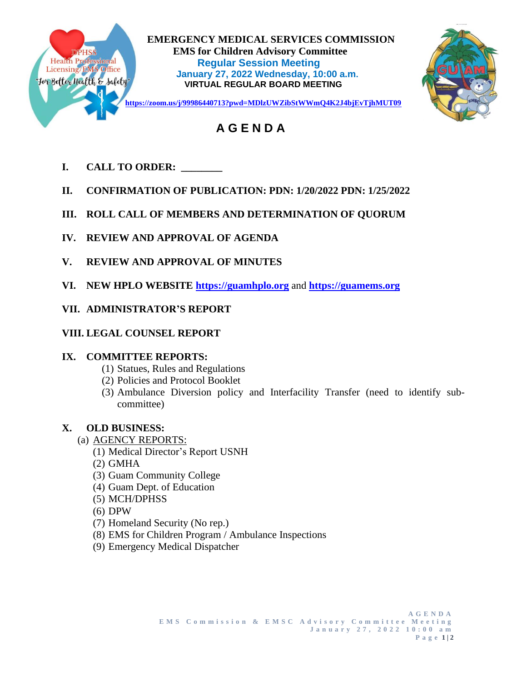

 **EMERGENCY MEDICAL SERVICES COMMISSION EMS for Children Advisory Committee<br>
Health Professional Regular Session Meeting<br>
Licensing/EMS Office Industry 27, 2022 Mednosday, 10:00.0.1 Regular Session Meeting January 27, 2022 Wednesday, 10:00 a.m. VIRTUAL REGULAR BOARD MEETING**



# **A G E N D A**

- **I. CALL TO ORDER: \_\_\_\_\_\_\_\_**
- **II. CONFIRMATION OF PUBLICATION: PDN: 1/20/2022 PDN: 1/25/2022**
- **III. ROLL CALL OF MEMBERS AND DETERMINATION OF QUORUM**
- **IV. REVIEW AND APPROVAL OF AGENDA**
- **V. REVIEW AND APPROVAL OF MINUTES**
- **VI. NEW HPLO WEBSITE [https://guamhplo.org](https://guamhplo.org/)** and **[https://guamems.org](https://guamems.org/)**
- **VII. ADMINISTRATOR'S REPORT**
- **VIII. LEGAL COUNSEL REPORT**

## **IX. COMMITTEE REPORTS:**

- (1) Statues, Rules and Regulations
- (2) Policies and Protocol Booklet
- (3) Ambulance Diversion policy and Interfacility Transfer (need to identify subcommittee)

# **X. OLD BUSINESS:**

- (a) AGENCY REPORTS:
	- (1) Medical Director's Report USNH
	- (2) GMHA
	- (3) Guam Community College
	- (4) Guam Dept. of Education
	- (5) MCH/DPHSS
	- (6) DPW
	- (7) Homeland Security (No rep.)
	- (8) EMS for Children Program / Ambulance Inspections
	- (9) Emergency Medical Dispatcher